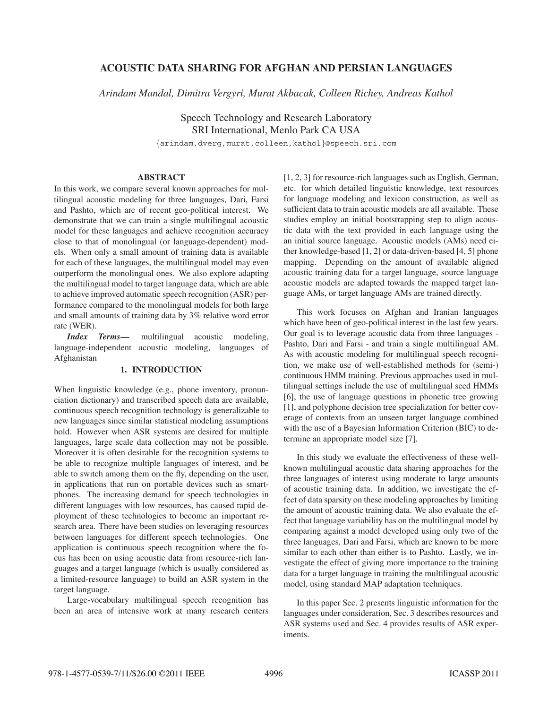## **ACOUSTIC DATA SHARING FOR AFGHAN AND PERSIAN LANGUAGES**

*Arindam Mandal, Dimitra Vergyri, Murat Akbacak, Colleen Richey, Andreas Kathol*

Speech Technology and Research Laboratory SRI International, Menlo Park CA USA

{arindam,dverg,murat,colleen,kathol}@speech.sri.com

# **ABSTRACT**

In this work, we compare several known approaches for multilingual acoustic modeling for three languages, Dari, Farsi and Pashto, which are of recent geo-political interest. We demonstrate that we can train a single multilingual acoustic model for these languages and achieve recognition accuracy close to that of monolingual (or language-dependent) models. When only a small amount of training data is available for each of these languages, the multilingual model may even outperform the monolingual ones. We also explore adapting the multilingual model to target language data, which are able to achieve improved automatic speech recognition (ASR) performance compared to the monolingual models for both large and small amounts of training data by 3% relative word error rate (WER).

*Index Terms***—** multilingual acoustic modeling, language-independent acoustic modeling, languages of Afghanistan

## **1. INTRODUCTION**

When linguistic knowledge (e.g., phone inventory, pronunciation dictionary) and transcribed speech data are available, continuous speech recognition technology is generalizable to new languages since similar statistical modeling assumptions hold. However when ASR systems are desired for multiple languages, large scale data collection may not be possible. Moreover it is often desirable for the recognition systems to be able to recognize multiple languages of interest, and be able to switch among them on the fly, depending on the user, in applications that run on portable devices such as smartphones. The increasing demand for speech technologies in different languages with low resources, has caused rapid deployment of these technologies to become an important research area. There have been studies on leveraging resources between languages for different speech technologies. One application is continuous speech recognition where the focus has been on using acoustic data from resource-rich languages and a target language (which is usually considered as a limited-resource language) to build an ASR system in the target language.

Large-vocabulary multilingual speech recognition has been an area of intensive work at many research centers [1, 2, 3] for resource-rich languages such as English, German, etc. for which detailed linguistic knowledge, text resources for language modeling and lexicon construction, as well as sufficient data to train acoustic models are all available. These studies employ an initial bootstrapping step to align acoustic data with the text provided in each language using the an initial source language. Acoustic models (AMs) need either knowledge-based [1, 2] or data-driven-based [4, 5] phone mapping. Depending on the amount of available aligned acoustic training data for a target language, source language acoustic models are adapted towards the mapped target language AMs, or target language AMs are trained directly.

This work focuses on Afghan and Iranian languages which have been of geo-political interest in the last few years. Our goal is to leverage acoustic data from three languages - Pashto, Dari and Farsi - and train a single multilingual AM. As with acoustic modeling for multilingual speech recognition, we make use of well-established methods for (semi-) continuous HMM training. Previous approaches used in multilingual settings include the use of multilingual seed HMMs [6], the use of language questions in phonetic tree growing [1], and polyphone decision tree specialization for better coverage of contexts from an unseen target language combined with the use of a Bayesian Information Criterion (BIC) to determine an appropriate model size [7].

In this study we evaluate the effectiveness of these wellknown multilingual acoustic data sharing approaches for the three languages of interest using moderate to large amounts of acoustic training data. In addition, we investigate the effect of data sparsity on these modeling approaches by limiting the amount of acoustic training data. We also evaluate the effect that language variability has on the multilingual model by comparing against a model developed using only two of the three languages, Dari and Farsi, which are known to be more similar to each other than either is to Pashto. Lastly, we investigate the effect of giving more importance to the training data for a target language in training the multilingual acoustic model, using standard MAP adaptation techniques.

In this paper Sec. 2 presents linguistic information for the languages under consideration, Sec. 3 describes resources and ASR systems used and Sec. 4 provides results of ASR experiments.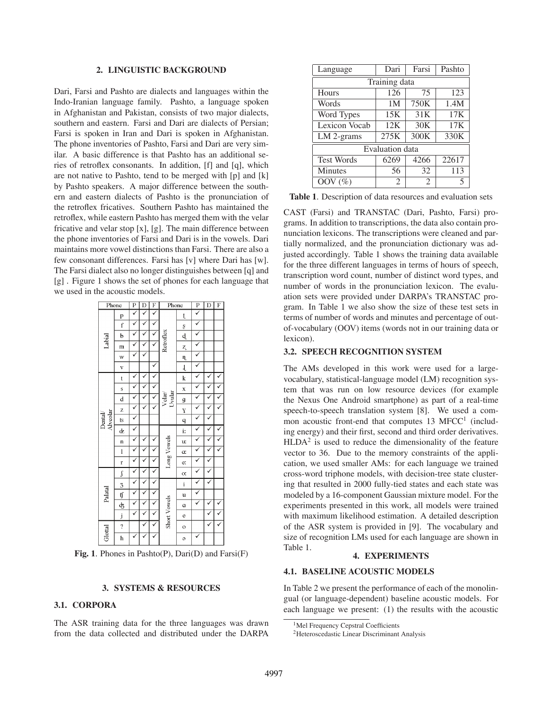### **2. LINGUISTIC BACKGROUND**

Dari, Farsi and Pashto are dialects and languages within the Indo-Iranian language family. Pashto, a language spoken in Afghanistan and Pakistan, consists of two major dialects, southern and eastern. Farsi and Dari are dialects of Persian; Farsi is spoken in Iran and Dari is spoken in Afghanistan. The phone inventories of Pashto, Farsi and Dari are very similar. A basic difference is that Pashto has an additional series of retroflex consonants. In addition, [f] and [q], which are not native to Pashto, tend to be merged with [p] and [k] by Pashto speakers. A major difference between the southern and eastern dialects of Pashto is the pronunciation of the retroflex fricatives. Southern Pashto has maintained the retroflex, while eastern Pashto has merged them with the velar fricative and velar stop [x], [g]. The main difference between the phone inventories of Farsi and Dari is in the vowels. Dari maintains more vowel distinctions than Farsi. There are also a few consonant differences. Farsi has [v] where Dari has [w]. The Farsi dialect also no longer distinguishes between [q] and [g] . Figure 1 shows the set of phones for each language that we used in the acoustic models.



**Fig. 1**. Phones in Pashto(P), Dari(D) and Farsi(F)

## **3. SYSTEMS & RESOURCES**

## **3.1. CORPORA**

The ASR training data for the three languages was drawn from the data collected and distributed under the DARPA

| Language               | Dari           | Farsi          | Pashto |  |
|------------------------|----------------|----------------|--------|--|
| Training data          |                |                |        |  |
| Hours                  | 126            | 75             | 123    |  |
| Words                  | 1 <sub>M</sub> | 750K           | 1.4M   |  |
| Word Types             | 15K            | 31K            | 17K    |  |
| Lexicon Vocab          | 12K            | 30K            | 17K    |  |
| $LM$ 2-grams           | 275K           | 300K           | 330K   |  |
| <b>Evaluation</b> data |                |                |        |  |
| <b>Test Words</b>      | 6269           | 4266           | 22617  |  |
| Minutes                | 56             | 32             | 113    |  |
| OOV $(\%)$             | $\mathfrak{D}$ | $\mathfrak{D}$ |        |  |

**Table 1**. Description of data resources and evaluation sets

CAST (Farsi) and TRANSTAC (Dari, Pashto, Farsi) programs. In addition to transcriptions, the data also contain pronunciation lexicons. The transcriptions were cleaned and partially normalized, and the pronunciation dictionary was adjusted accordingly. Table 1 shows the training data available for the three different languages in terms of hours of speech, transcription word count, number of distinct word types, and number of words in the pronunciation lexicon. The evaluation sets were provided under DARPA's TRANSTAC program. In Table 1 we also show the size of these test sets in terms of number of words and minutes and percentage of outof-vocabulary (OOV) items (words not in our training data or lexicon).

#### **3.2. SPEECH RECOGNITION SYSTEM**

The AMs developed in this work were used for a largevocabulary, statistical-language model (LM) recognition system that was run on low resource devices (for example the Nexus One Android smartphone) as part of a real-time speech-to-speech translation system [8]. We used a common acoustic front-end that computes  $13$  MFCC<sup>1</sup> (including energy) and their first, second and third order derivatives.  $HLDA<sup>2</sup>$  is used to reduce the dimensionality of the feature vector to 36. Due to the memory constraints of the application, we used smaller AMs: for each language we trained cross-word triphone models, with decision-tree state clustering that resulted in 2000 fully-tied states and each state was modeled by a 16-component Gaussian mixture model. For the experiments presented in this work, all models were trained with maximum likelihood estimation. A detailed description of the ASR system is provided in [9]. The vocabulary and size of recognition LMs used for each language are shown in Table 1.

### **4. EXPERIMENTS**

#### **4.1. BASELINE ACOUSTIC MODELS**

In Table 2 we present the performance of each of the monolingual (or language-dependent) baseline acoustic models. For each language we present: (1) the results with the acoustic

<sup>&</sup>lt;sup>1</sup>Mel Frequency Cepstral Coefficients

<sup>2</sup>Heteroscedastic Linear Discriminant Analysis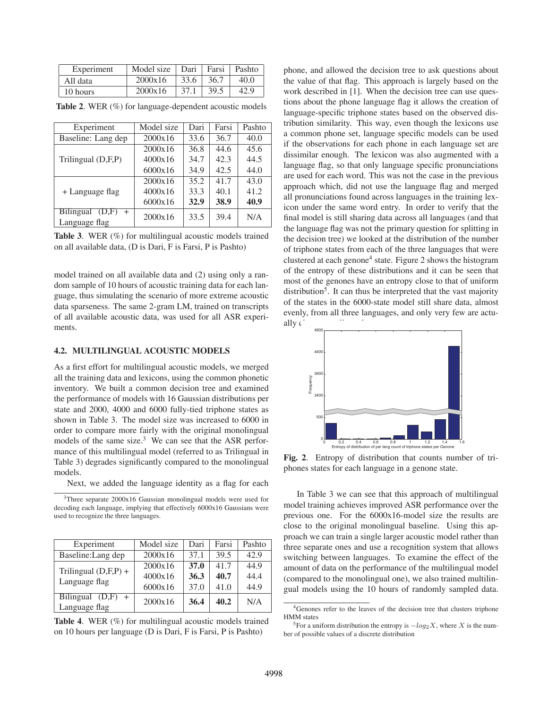| Experiment | Model size |      | Dari   Farsi | Pashto |
|------------|------------|------|--------------|--------|
| All data   | 2000x16    | 33.6 | 36.7         | 40.0   |
| 10 hours   | 2000x16    | 37.1 | 39.5         | 42.9   |

| Experiment                                        | Model size | Dari | Farsi | Pashto |
|---------------------------------------------------|------------|------|-------|--------|
| Baseline: Lang dep                                | 2000x16    | 33.6 | 36.7  | 40.0   |
| Trilingual (D,F,P)                                | 2000x16    | 36.8 | 44.6  | 45.6   |
|                                                   | 4000x16    | 34.7 | 42.3  | 44.5   |
|                                                   | 6000x16    | 34.9 | 42.5  | 44.0   |
|                                                   | 2000x16    | 35.2 | 41.7  | 43.0   |
| + Language flag                                   | 4000x16    | 33.3 | 40.1  | 41.2   |
|                                                   | 6000x16    | 32.9 | 38.9  | 40.9   |
| <b>Bilingual</b><br>(D,F)<br>$+$<br>Language flag | 2000x16    | 33.5 | 39.4  | N/A    |

**Table 2**. WER (%) for language-dependent acoustic models

model trained on all available data and (2) using only a random sample of 10 hours of acoustic training data for each language, thus simulating the scenario of more extreme acoustic data sparseness. The same 2-gram LM, trained on transcripts of all available acoustic data, was used for all ASR experiments.

### **4.2. MULTILINGUAL ACOUSTIC MODELS**

As a first effort for multilingual acoustic models, we merged all the training data and lexicons, using the common phonetic inventory. We built a common decision tree and examined the performance of models with 16 Gaussian distributions per state and 2000, 4000 and 6000 fully-tied triphone states as shown in Table 3. The model size was increased to 6000 in order to compare more fairly with the original monolingual models of the same size. $3$  We can see that the ASR performance of this multilingual model (referred to as Trilingual in Table 3) degrades significantly compared to the monolingual models.

Next, we added the language identity as a flag for each

3Three separate 2000x16 Gaussian monolingual models were used for decoding each language, implying that effectively 6000x16 Gaussians were used to recognize the three languages.

| Experiment                              | Model size | Dari        | Farsi | Pashto |
|-----------------------------------------|------------|-------------|-------|--------|
| Baseline: Lang dep                      | 2000x16    | 37.1        | 39.5  | 42.9   |
| Trilingual $(D,F,P)$ +<br>Language flag | 2000x16    | <b>37.0</b> | 41.7  | 44.9   |
|                                         | 4000x16    | 36.3        | 40.7  | 44.4   |
|                                         | 6000x16    | 37.0        | 41.0  | 44.9   |
| <b>Bilingual</b><br>(D,F)               | 2000x16    | 36.4        | 40.2  | N/A    |
| Language flag                           |            |             |       |        |

**Table 4**. WER (%) for multilingual acoustic models trained on 10 hours per language (D is Dari, F is Farsi, P is Pashto)

phone, and allowed the decision tree to ask questions about the value of that flag. This approach is largely based on the work described in [1]. When the decision tree can use questions about the phone language flag it allows the creation of language-specific triphone states based on the observed distribution similarity. This way, even though the lexicons use a common phone set, language specific models can be used if the observations for each phone in each language set are dissimilar enough. The lexicon was also augmented with a language flag, so that only language specific pronunciations are used for each word. This was not the case in the previous approach which, did not use the language flag and merged all pronunciations found across languages in the training lexicon under the same word entry. In order to verify that the final model is still sharing data across all languages (and that the language flag was not the primary question for splitting in the decision tree) we looked at the distribution of the number of triphone states from each of the three languages that were clustered at each genone<sup>4</sup> state. Figure 2 shows the histogram of the entropy of these distributions and it can be seen that most of the genones have an entropy close to that of uniform  $distri$ bution<sup>5</sup>. It can thus be interpreted that the vast majority of the states in the 6000-state model still share data, almost evenly, from all three languages, and only very few are actually c



**Fig. 2**. Entropy of distribution that counts number of triphones states for each language in a genone state.

In Table 3 we can see that this approach of multilingual model training achieves improved ASR performance over the previous one. For the 6000x16-model size the results are close to the original monolingual baseline. Using this approach we can train a single larger acoustic model rather than three separate ones and use a recognition system that allows switching between languages. To examine the effect of the amount of data on the performance of the multilingual model (compared to the monolingual one), we also trained multilingual models using the 10 hours of randomly sampled data.

**Table 3**. WER (%) for multilingual acoustic models trained on all available data, (D is Dari, F is Farsi, P is Pashto)

<sup>4</sup>Genones refer to the leaves of the decision tree that clusters triphone HMM states

<sup>&</sup>lt;sup>5</sup>For a uniform distribution the entropy is  $-\log_2 X$ , where X is the number of possible values of a discrete distribution